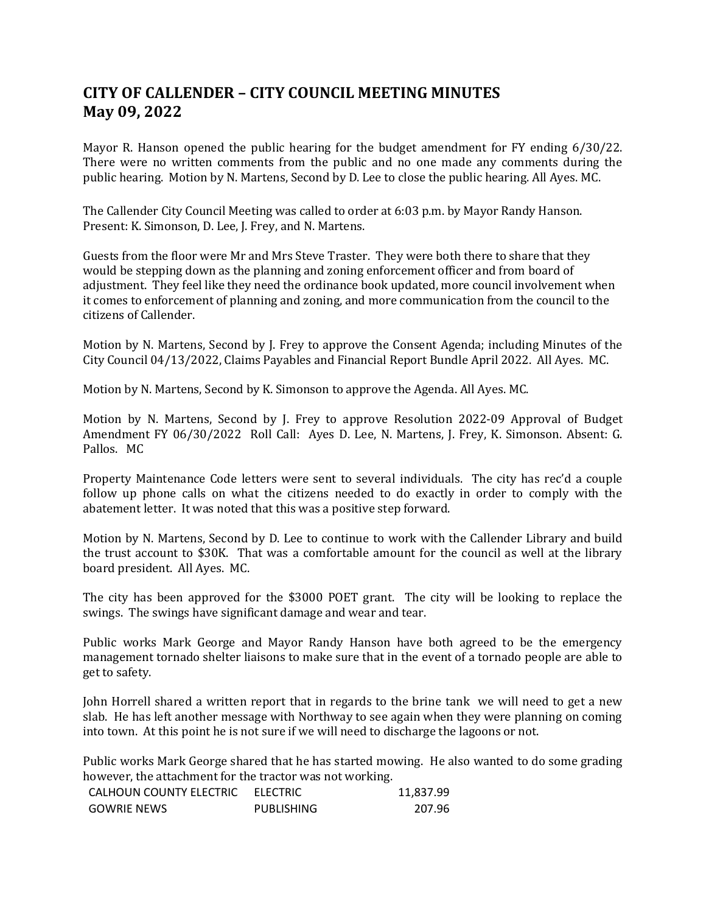## **CITY OF CALLENDER – CITY COUNCIL MEETING MINUTES May 09, 2022**

Mayor R. Hanson opened the public hearing for the budget amendment for FY ending 6/30/22. There were no written comments from the public and no one made any comments during the public hearing. Motion by N. Martens, Second by D. Lee to close the public hearing. All Ayes. MC.

The Callender City Council Meeting was called to order at 6:03 p.m. by Mayor Randy Hanson. Present: K. Simonson, D. Lee, J. Frey, and N. Martens.

Guests from the floor were Mr and Mrs Steve Traster. They were both there to share that they would be stepping down as the planning and zoning enforcement officer and from board of adjustment. They feel like they need the ordinance book updated, more council involvement when it comes to enforcement of planning and zoning, and more communication from the council to the citizens of Callender.

Motion by N. Martens, Second by J. Frey to approve the Consent Agenda; including Minutes of the City Council 04/13/2022, Claims Payables and Financial Report Bundle April 2022. All Ayes. MC.

Motion by N. Martens, Second by K. Simonson to approve the Agenda. All Ayes. MC.

Motion by N. Martens, Second by J. Frey to approve Resolution 2022-09 Approval of Budget Amendment FY 06/30/2022 Roll Call: Ayes D. Lee, N. Martens, J. Frey, K. Simonson. Absent: G. Pallos. MC

Property Maintenance Code letters were sent to several individuals. The city has rec'd a couple follow up phone calls on what the citizens needed to do exactly in order to comply with the abatement letter. It was noted that this was a positive step forward.

Motion by N. Martens, Second by D. Lee to continue to work with the Callender Library and build the trust account to \$30K. That was a comfortable amount for the council as well at the library board president. All Ayes. MC.

The city has been approved for the \$3000 POET grant. The city will be looking to replace the swings. The swings have significant damage and wear and tear.

Public works Mark George and Mayor Randy Hanson have both agreed to be the emergency management tornado shelter liaisons to make sure that in the event of a tornado people are able to get to safety.

John Horrell shared a written report that in regards to the brine tank we will need to get a new slab. He has left another message with Northway to see again when they were planning on coming into town. At this point he is not sure if we will need to discharge the lagoons or not.

Public works Mark George shared that he has started mowing. He also wanted to do some grading however, the attachment for the tractor was not working.

| CALHOUN COUNTY ELECTRIC | ELECTRIC          | 11,837.99 |
|-------------------------|-------------------|-----------|
| <b>GOWRIE NEWS</b>      | <b>PUBLISHING</b> | 207.96    |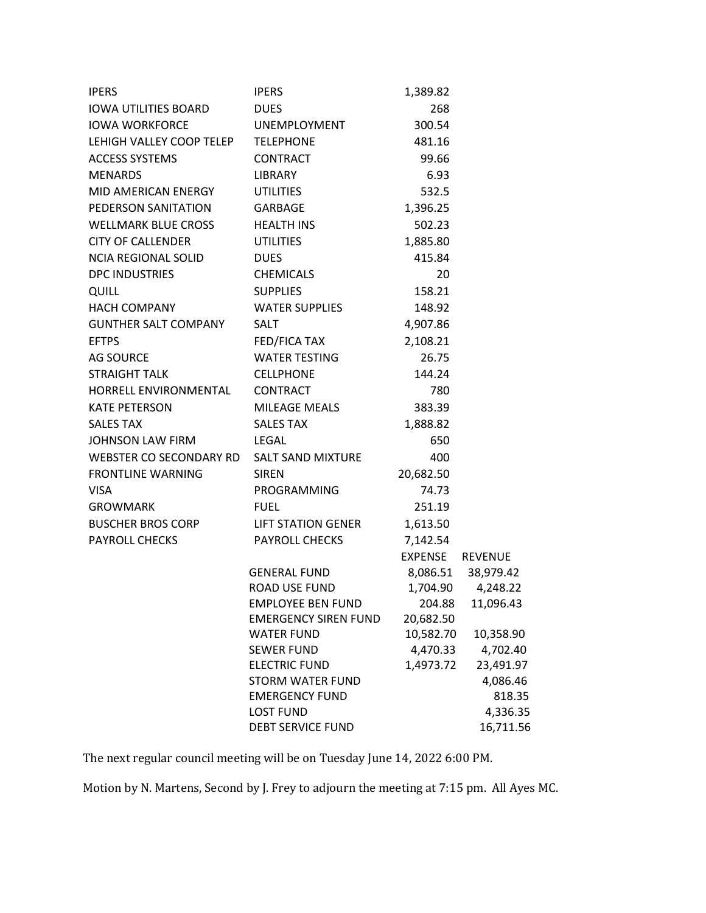| <b>IPERS</b>                              | <b>IPERS</b>                                 | 1,389.82        |                       |
|-------------------------------------------|----------------------------------------------|-----------------|-----------------------|
| IOWA UTILITIES BOARD                      | <b>DUES</b>                                  | 268             |                       |
| <b>IOWA WORKFORCE</b>                     | <b>UNEMPLOYMENT</b>                          | 300.54          |                       |
| LEHIGH VALLEY COOP TELEP                  | <b>TELEPHONE</b>                             | 481.16          |                       |
| <b>ACCESS SYSTEMS</b>                     | CONTRACT                                     | 99.66           |                       |
| <b>MENARDS</b>                            | <b>LIBRARY</b>                               | 6.93            |                       |
| MID AMERICAN ENERGY                       | <b>UTILITIES</b>                             | 532.5           |                       |
| PEDERSON SANITATION                       | <b>GARBAGE</b>                               | 1,396.25        |                       |
| WELLMARK BLUE CROSS                       | <b>HEALTH INS</b>                            | 502.23          |                       |
| <b>CITY OF CALLENDER</b>                  | <b>UTILITIES</b>                             | 1,885.80        |                       |
| NCIA REGIONAL SOLID                       | <b>DUES</b>                                  | 415.84          |                       |
| <b>DPC INDUSTRIES</b>                     | <b>CHEMICALS</b>                             | 20              |                       |
| QUILL                                     | <b>SUPPLIES</b>                              | 158.21          |                       |
| <b>HACH COMPANY</b>                       | <b>WATER SUPPLIES</b>                        | 148.92          |                       |
| GUNTHER SALT COMPANY                      | <b>SALT</b>                                  | 4,907.86        |                       |
| <b>EFTPS</b>                              | FED/FICA TAX                                 | 2,108.21        |                       |
| AG SOURCE                                 | <b>WATER TESTING</b>                         | 26.75           |                       |
| <b>STRAIGHT TALK</b>                      | <b>CELLPHONE</b>                             | 144.24          |                       |
| HORRELL ENVIRONMENTAL                     | <b>CONTRACT</b>                              | 780             |                       |
| <b>KATE PETERSON</b>                      | MILEAGE MEALS                                | 383.39          |                       |
| <b>SALES TAX</b>                          | <b>SALES TAX</b>                             | 1,888.82        |                       |
| JOHNSON LAW FIRM                          | LEGAL                                        | 650             |                       |
| WEBSTER CO SECONDARY RD SALT SAND MIXTURE |                                              | 400             |                       |
| <b>FRONTLINE WARNING</b>                  | <b>SIREN</b>                                 | 20,682.50       |                       |
| <b>VISA</b>                               | PROGRAMMING                                  | 74.73           |                       |
| <b>GROWMARK</b>                           | <b>FUEL</b>                                  | 251.19          |                       |
| <b>BUSCHER BROS CORP</b>                  | LIFT STATION GENER                           | 1,613.50        |                       |
| <b>PAYROLL CHECKS</b>                     | <b>PAYROLL CHECKS</b>                        | 7,142.54        |                       |
|                                           |                                              | EXPENSE REVENUE |                       |
|                                           | <b>GENERAL FUND</b>                          |                 | 8,086.51 38,979.42    |
|                                           | <b>ROAD USE FUND</b>                         | 1,704.90        | 4,248.22              |
|                                           | <b>EMPLOYEE BEN FUND</b>                     | 204.88          | 11,096.43             |
|                                           | <b>EMERGENCY SIREN FUND</b>                  | 20,682.50       |                       |
|                                           | <b>WATER FUND</b>                            | 10,582.70       | 10,358.90             |
|                                           | <b>SEWER FUND</b>                            | 4,470.33        | 4,702.40              |
|                                           | <b>ELECTRIC FUND</b>                         | 1,4973.72       | 23,491.97             |
|                                           | <b>STORM WATER FUND</b>                      |                 | 4,086.46              |
|                                           | <b>EMERGENCY FUND</b>                        |                 | 818.35                |
|                                           | <b>LOST FUND</b><br><b>DEBT SERVICE FUND</b> |                 | 4,336.35<br>16,711.56 |
|                                           |                                              |                 |                       |

The next regular council meeting will be on Tuesday June 14, 2022 6:00 PM.

Motion by N. Martens, Second by J. Frey to adjourn the meeting at 7:15 pm. All Ayes MC.